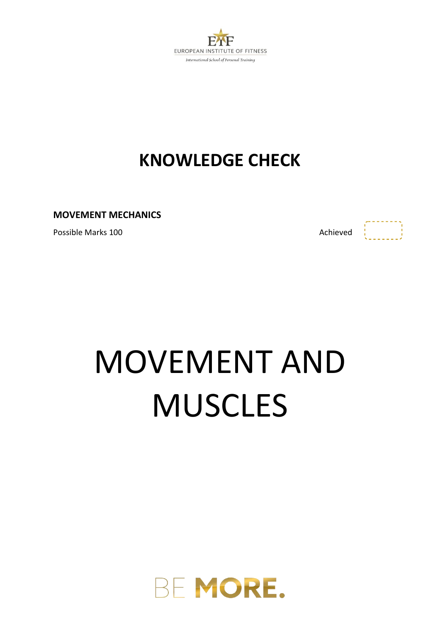

### **KNOWLEDGE CHECK**

**MOVEMENT MECHANICS**

Possible Marks 100 **Achieved Achieved Achieved** 

 $\begin{bmatrix} 1 & 1 & 1 & 1 \\ 1 & 1 & 1 & 1 \\ 1 & 1 & 1 & 1 \\ 1 & 1 & 1 & 1 \\ 1 & 1 & 1 & 1 \\ 1 & 1 & 1 & 1 \\ 1 & 1 & 1 & 1 \\ 1 & 1 & 1 & 1 \\ 1 & 1 & 1 & 1 \\ 1 & 1 & 1 & 1 \\ 1 & 1 & 1 & 1 \\ 1 & 1 & 1 & 1 \\ 1 & 1 & 1 & 1 \\ 1 & 1 & 1 & 1 \\ 1 & 1 & 1 & 1 \\ 1 & 1 & 1 & 1 & 1 \\ 1 & 1 & 1 & 1 & 1 \\ 1 &$ 

# MOVEMENT AND **MUSCLES**

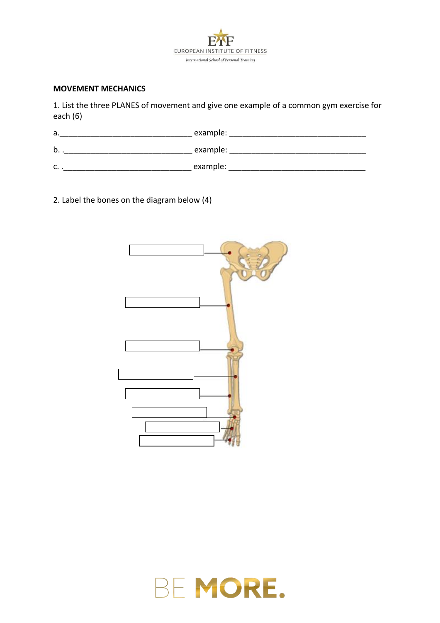

#### **MOVEMENT MECHANICS**

1. List the three PLANES of movement and give one example of a common gym exercise for each (6)

| а.                      | example: |
|-------------------------|----------|
| b.                      | example: |
| $\epsilon$<br>$\ddotsc$ | example: |

2. Label the bones on the diagram below (4)



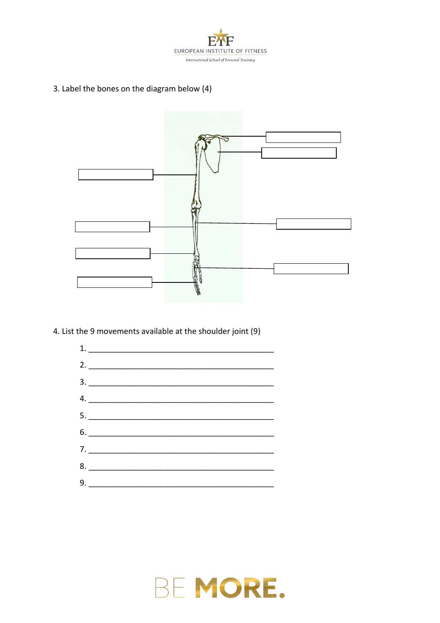

3. Label the bones on the diagram below (4)



4. List the 9 movements available at the shoulder joint (9)



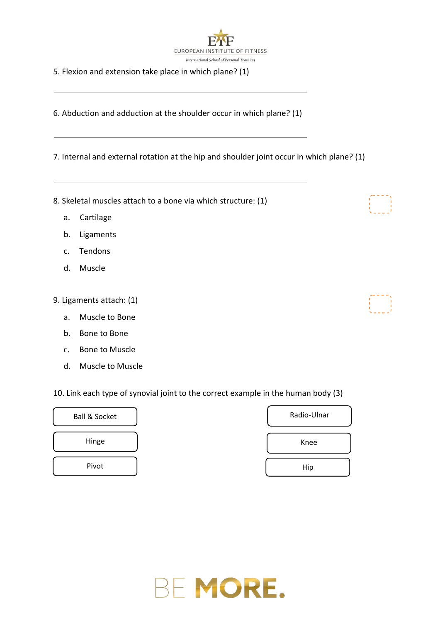

5. Flexion and extension take place in which plane? (1)

6. Abduction and adduction at the shoulder occur in which plane? (1)

7. Internal and external rotation at the hip and shoulder joint occur in which plane? (1)

- 8. Skeletal muscles attach to a bone via which structure: (1)
	- a. Cartilage
	- b. Ligaments
	- c. Tendons
	- d. Muscle
- 9. Ligaments attach: (1)
	- a. Muscle to Bone
	- b. Bone to Bone
	- c. Bone to Muscle
	- d. Muscle to Muscle

10. Link each type of synovial joint to the correct example in the human body (3)





|  | the contract of the contract of the contract of the contract of the contract of |  |  |
|--|---------------------------------------------------------------------------------|--|--|
|  |                                                                                 |  |  |
|  |                                                                                 |  |  |
|  |                                                                                 |  |  |
|  |                                                                                 |  |  |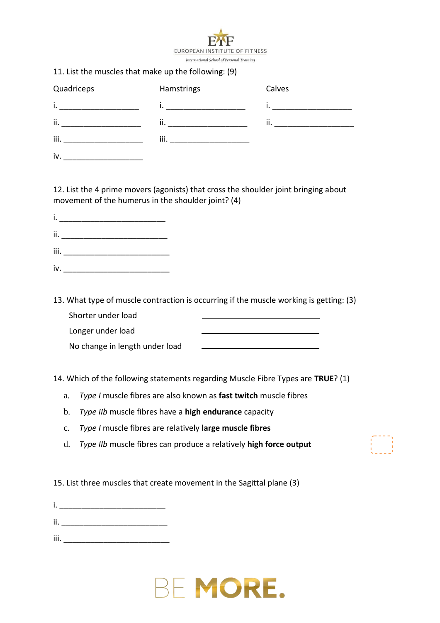

#### 11. List the muscles that make up the following: (9)

| Quadriceps | Hamstrings | Calves |
|------------|------------|--------|
| i.         |            |        |
| ii.        | ii.        | ii.    |
| iii.       | iii.       |        |
| iv.        |            |        |

12. List the 4 prime movers (agonists) that cross the shoulder joint bringing about movement of the humerus in the shoulder joint? (4)

- ii. \_\_\_\_\_\_\_\_\_\_\_\_\_\_\_\_\_\_\_\_\_\_\_\_
- iii. \_\_\_\_\_\_\_\_\_\_\_\_\_\_\_\_\_\_\_\_\_\_\_\_
- iv. \_\_\_\_\_\_\_\_\_\_\_\_\_\_\_\_\_\_\_\_\_\_\_\_
- 13. What type of muscle contraction is occurring if the muscle working is getting: (3) Shorter under load

| Shorter under load             |  |
|--------------------------------|--|
| Longer under load              |  |
| No change in length under load |  |
|                                |  |

14. Which of the following statements regarding Muscle Fibre Types are **TRUE**? (1)

- a. *Type I* muscle fibres are also known as **fast twitch** muscle fibres
- b. *Type IIb* muscle fibres have a **high endurance** capacity
- c. *Type I* muscle fibres are relatively **large muscle fibres**
- d. *Type IIb* muscle fibres can produce a relatively **high force output**

15. List three muscles that create movement in the Sagittal plane (3)

- i.  $\blacksquare$   $\blacksquare$   $\blacksquare$   $\blacksquare$   $\blacksquare$   $\blacksquare$
- ii. <sub>20</sub> and 20 and 20 and 20 and 20 and 20 and 20 and 20 and 20 and 20 and 20 and 20 and 20 and 20 and 20 and
- iii.  $\frac{1}{2}$

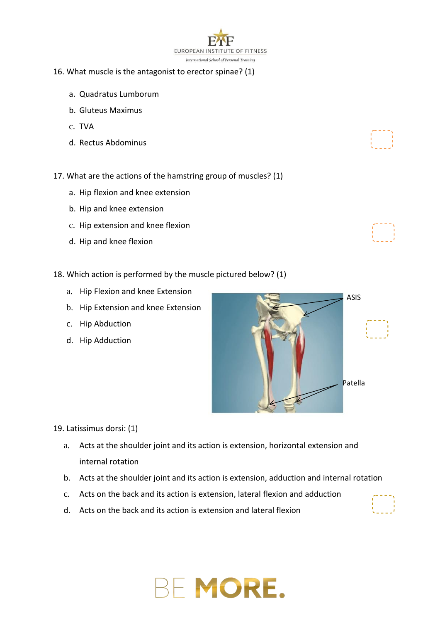

#### 16. What muscle is the antagonist to erector spinae? (1)

- a. Quadratus Lumborum
- b. Gluteus Maximus
- c. TVA
- d. Rectus Abdominus
- 17. What are the actions of the hamstring group of muscles? (1)
	- a. Hip flexion and knee extension
	- b. Hip and knee extension
	- c. Hip extension and knee flexion
	- d. Hip and knee flexion
- 18. Which action is performed by the muscle pictured below? (1)
	- a. Hip Flexion and knee Extension
	- b. Hip Extension and knee Extension
	- c. Hip Abduction
	- d. Hip Adduction



19. Latissimus dorsi: (1)

- a. Acts at the shoulder joint and its action is extension, horizontal extension and internal rotation
- b. Acts at the shoulder joint and its action is extension, adduction and internal rotation
- c. Acts on the back and its action is extension, lateral flexion and adduction
- d. Acts on the back and its action is extension and lateral flexion

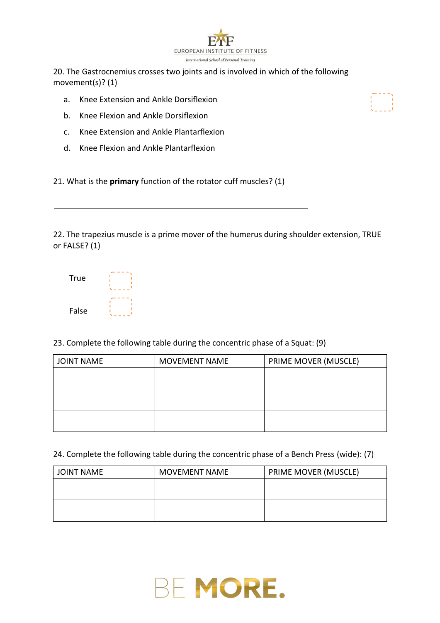

20. The Gastrocnemius crosses two joints and is involved in which of the following movement(s)? (1)

- a. Knee Extension and Ankle Dorsiflexion
- b. Knee Flexion and Ankle Dorsiflexion
- c. Knee Extension and Ankle Plantarflexion
- d. Knee Flexion and Ankle Plantarflexion

21. What is the **primary** function of the rotator cuff muscles? (1)

22. The trapezius muscle is a prime mover of the humerus during shoulder extension, TRUE or FALSE? (1)

| <b>True</b> |  |
|-------------|--|
| False       |  |

23. Complete the following table during the concentric phase of a Squat: (9)

| <b>JOINT NAME</b> | <b>MOVEMENT NAME</b> | PRIME MOVER (MUSCLE) |
|-------------------|----------------------|----------------------|
|                   |                      |                      |
|                   |                      |                      |
|                   |                      |                      |
|                   |                      |                      |
|                   |                      |                      |
|                   |                      |                      |

24. Complete the following table during the concentric phase of a Bench Press (wide): (7)

| <b>JOINT NAME</b> | MOVEMENT NAME | PRIME MOVER (MUSCLE) |
|-------------------|---------------|----------------------|
|                   |               |                      |
|                   |               |                      |
|                   |               |                      |
|                   |               |                      |



## BE MORE.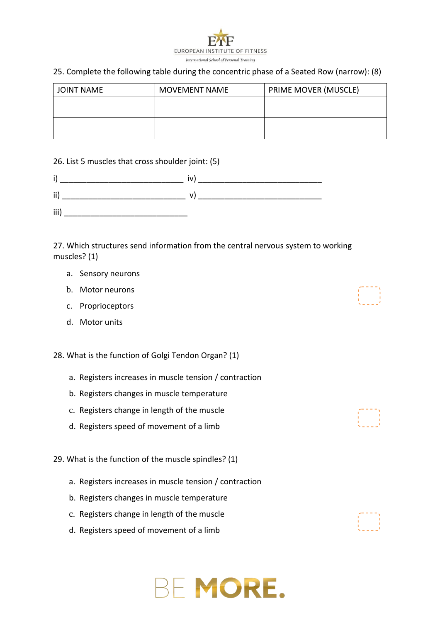

#### 25. Complete the following table during the concentric phase of a Seated Row (narrow): (8)

| JOINT NAME | <b>MOVEMENT NAME</b> | PRIME MOVER (MUSCLE) |
|------------|----------------------|----------------------|
|            |                      |                      |
|            |                      |                      |
|            |                      |                      |
|            |                      |                      |

#### 26. List 5 muscles that cross shoulder joint: (5)

| ÷<br>. . |  |
|----------|--|
| ii       |  |
| iii)     |  |

27. Which structures send information from the central nervous system to working muscles? (1)

- a. Sensory neurons
- b. Motor neurons
- c. Proprioceptors
- d. Motor units

28. What is the function of Golgi Tendon Organ? (1)

- a. Registers increases in muscle tension / contraction
- b. Registers changes in muscle temperature
- c. Registers change in length of the muscle
- d. Registers speed of movement of a limb

29. What is the function of the muscle spindles? (1)

- a. Registers increases in muscle tension / contraction
- b. Registers changes in muscle temperature
- c. Registers change in length of the muscle
- d. Registers speed of movement of a limb